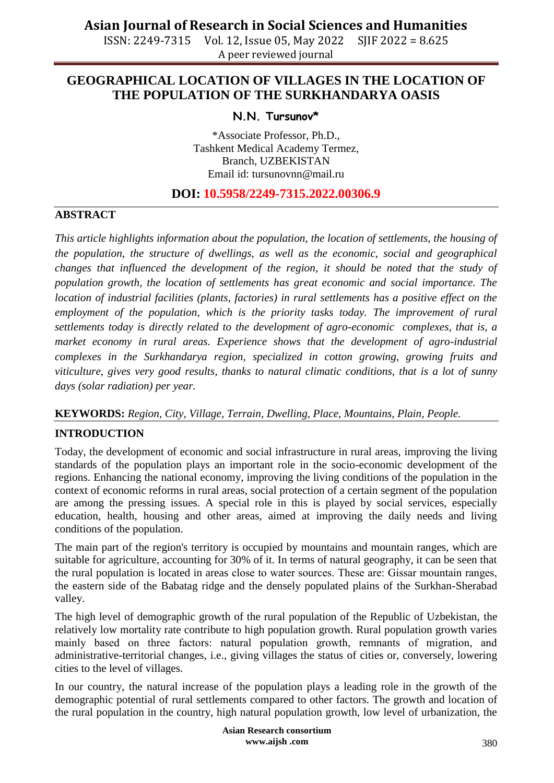ISSN: 2249-7315 Vol. 12, Issue 05, May 2022 SJIF 2022 = 8.625 A peer reviewed journal

## **GEOGRAPHICAL LOCATION OF VILLAGES IN THE LOCATION OF THE POPULATION OF THE SURKHANDARYA OASIS**

## **N.N. Tursunov\***

\*Associate Professor, Ph.D., Tashkent Medical Academy Termez, Branch, UZBEKISTAN Email id: [tursunovnn@mail.ru](mailto:tursunovnn@mail.ru)

## **DOI: 10.5958/2249-7315.2022.00306.9**

## **ABSTRACT**

*This article highlights information about the population, the location of settlements, the housing of the population, the structure of dwellings, as well as the economic, social and geographical changes that influenced the development of the region, it should be noted that the study of population growth, the location of settlements has great economic and social importance. The location of industrial facilities (plants, factories) in rural settlements has a positive effect on the employment of the population, which is the priority tasks today. The improvement of rural settlements today is directly related to the development of agro-economic complexes, that is, a market economy in rural areas. Experience shows that the development of agro-industrial complexes in the Surkhandarya region, specialized in cotton growing, growing fruits and viticulture, gives very good results, thanks to natural climatic conditions, that is a lot of sunny days (solar radiation) per year.*

## **KEYWORDS:** *Region, City, Village, Terrain, Dwelling, Place, Mountains, Plain, People.*

#### **INTRODUCTION**

Today, the development of economic and social infrastructure in rural areas, improving the living standards of the population plays an important role in the socio-economic development of the regions. Enhancing the national economy, improving the living conditions of the population in the context of economic reforms in rural areas, social protection of a certain segment of the population are among the pressing issues. A special role in this is played by social services, especially education, health, housing and other areas, aimed at improving the daily needs and living conditions of the population.

The main part of the region's territory is occupied by mountains and mountain ranges, which are suitable for agriculture, accounting for 30% of it. In terms of natural geography, it can be seen that the rural population is located in areas close to water sources. These are։ Gissar mountain ranges, the eastern side of the Babatag ridge and the densely populated plains of the Surkhan-Sherabad valley.

The high level of demographic growth of the rural population of the Republic of Uzbekistan, the relatively low mortality rate contribute to high population growth. Rural population growth varies mainly based on three factors։ natural population growth, remnants of migration, and administrative-territorial changes, i.e., giving villages the status of cities or, conversely, lowering cities to the level of villages.

In our country, the natural increase of the population plays a leading role in the growth of the demographic potential of rural settlements compared to other factors. The growth and location of the rural population in the country, high natural population growth, low level of urbanization, the

> **Asian Research consortium www.aijsh .com**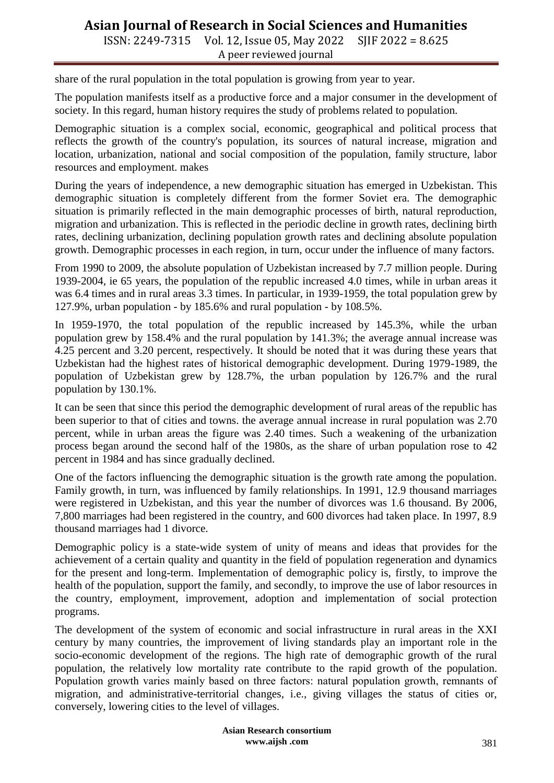ISSN: 2249-7315 Vol. 12, Issue 05, May 2022 SJIF 2022 = 8.625 A peer reviewed journal

share of the rural population in the total population is growing from year to year.

The population manifests itself as a productive force and a major consumer in the development of society. In this regard, human history requires the study of problems related to population.

Demographic situation is a complex social, economic, geographical and political process that reflects the growth of the country's population, its sources of natural increase, migration and location, urbanization, national and social composition of the population, family structure, labor resources and employment. makes

During the years of independence, a new demographic situation has emerged in Uzbekistan. This demographic situation is completely different from the former Soviet era. The demographic situation is primarily reflected in the main demographic processes of birth, natural reproduction, migration and urbanization. This is reflected in the periodic decline in growth rates, declining birth rates, declining urbanization, declining population growth rates and declining absolute population growth. Demographic processes in each region, in turn, occur under the influence of many factors.

From 1990 to 2009, the absolute population of Uzbekistan increased by 7.7 million people. During 1939-2004, ie 65 years, the population of the republic increased 4.0 times, while in urban areas it was 6.4 times and in rural areas 3.3 times. In particular, in 1939-1959, the total population grew by 127.9%, urban population - by 185.6% and rural population - by 108.5%.

In 1959-1970, the total population of the republic increased by 145.3%, while the urban population grew by 158.4% and the rural population by 141.3%; the average annual increase was 4.25 percent and 3.20 percent, respectively. It should be noted that it was during these years that Uzbekistan had the highest rates of historical demographic development. During 1979-1989, the population of Uzbekistan grew by 128.7%, the urban population by 126.7% and the rural population by 130.1%.

It can be seen that since this period the demographic development of rural areas of the republic has been superior to that of cities and towns. the average annual increase in rural population was 2.70 percent, while in urban areas the figure was 2.40 times. Such a weakening of the urbanization process began around the second half of the 1980s, as the share of urban population rose to 42 percent in 1984 and has since gradually declined.

One of the factors influencing the demographic situation is the growth rate among the population. Family growth, in turn, was influenced by family relationships. In 1991, 12.9 thousand marriages were registered in Uzbekistan, and this year the number of divorces was 1.6 thousand. By 2006, 7,800 marriages had been registered in the country, and 600 divorces had taken place. In 1997, 8.9 thousand marriages had 1 divorce.

Demographic policy is a state-wide system of unity of means and ideas that provides for the achievement of a certain quality and quantity in the field of population regeneration and dynamics for the present and long-term. Implementation of demographic policy is, firstly, to improve the health of the population, support the family, and secondly, to improve the use of labor resources in the country, employment, improvement, adoption and implementation of social protection programs.

The development of the system of economic and social infrastructure in rural areas in the XXI century by many countries, the improvement of living standards play an important role in the socio-economic development of the regions. The high rate of demographic growth of the rural population, the relatively low mortality rate contribute to the rapid growth of the population. Population growth varies mainly based on three factors։ natural population growth, remnants of migration, and administrative-territorial changes, i.e., giving villages the status of cities or, conversely, lowering cities to the level of villages.

> **Asian Research consortium www.aijsh .com**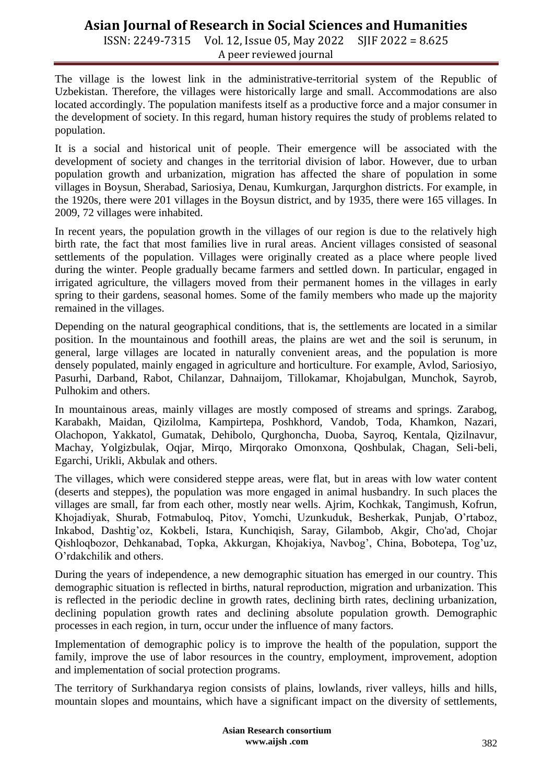ISSN: 2249-7315 Vol. 12, Issue 05, May 2022 SJIF 2022 = 8.625 A peer reviewed journal

The village is the lowest link in the administrative-territorial system of the Republic of Uzbekistan. Therefore, the villages were historically large and small. Accommodations are also located accordingly. The population manifests itself as a productive force and a major consumer in the development of society. In this regard, human history requires the study of problems related to population.

It is a social and historical unit of people. Their emergence will be associated with the development of society and changes in the territorial division of labor. However, due to urban population growth and urbanization, migration has affected the share of population in some villages in Boysun, Sherabad, Sariosiya, Denau, Kumkurgan, Jarqurghon districts. For example, in the 1920s, there were 201 villages in the Boysun district, and by 1935, there were 165 villages. In 2009, 72 villages were inhabited.

In recent years, the population growth in the villages of our region is due to the relatively high birth rate, the fact that most families live in rural areas. Ancient villages consisted of seasonal settlements of the population. Villages were originally created as a place where people lived during the winter. People gradually became farmers and settled down. In particular, engaged in irrigated agriculture, the villagers moved from their permanent homes in the villages in early spring to their gardens, seasonal homes. Some of the family members who made up the majority remained in the villages.

Depending on the natural geographical conditions, that is, the settlements are located in a similar position. In the mountainous and foothill areas, the plains are wet and the soil is serunum, in general, large villages are located in naturally convenient areas, and the population is more densely populated, mainly engaged in agriculture and horticulture. For example, Avlod, Sariosiyo, Pasurhi, Darband, Rabot, Chilanzar, Dahnaijom, Tillokamar, Khojabulgan, Munchok, Sayrob, Pulhokim and others.

In mountainous areas, mainly villages are mostly composed of streams and springs. Zarabog, Karabakh, Maidan, Qizilolma, Kampirtepa, Poshkhord, Vandob, Toda, Khamkon, Nazari, Olachopon, Yakkatol, Gumatak, Dehibolo, Qurghoncha, Duoba, Sayroq, Kentala, Qizilnavur, Machay, Yolgizbulak, Oqjar, Mirqo, Mirqorako Omonxona, Qoshbulak, Chagan, Seli-beli, Egarchi, Urikli, Akbulak and others.

The villages, which were considered steppe areas, were flat, but in areas with low water content (deserts and steppes), the population was more engaged in animal husbandry. In such places the villages are small, far from each other, mostly near wells. Ajrim, Kochkak, Tangimush, Kofrun, Khojadiyak, Shurab, Fotmabuloq, Pitov, Yomchi, Uzunkuduk, Besherkak, Punjab, O"rtaboz, Inkabod, Dashtig"oz, Kokbeli, Istara, Kunchiqish, Saray, Gilambob, Akgir, Cho'ad, Chojar Qishloqbozor, Dehkanabad, Topka, Akkurgan, Khojakiya, Navbog', China, Bobotepa, Tog'uz, O"rdakchilik and others.

During the years of independence, a new demographic situation has emerged in our country. This demographic situation is reflected in births, natural reproduction, migration and urbanization. This is reflected in the periodic decline in growth rates, declining birth rates, declining urbanization, declining population growth rates and declining absolute population growth. Demographic processes in each region, in turn, occur under the influence of many factors.

Implementation of demographic policy is to improve the health of the population, support the family, improve the use of labor resources in the country, employment, improvement, adoption and implementation of social protection programs.

The territory of Surkhandarya region consists of plains, lowlands, river valleys, hills and hills, mountain slopes and mountains, which have a significant impact on the diversity of settlements,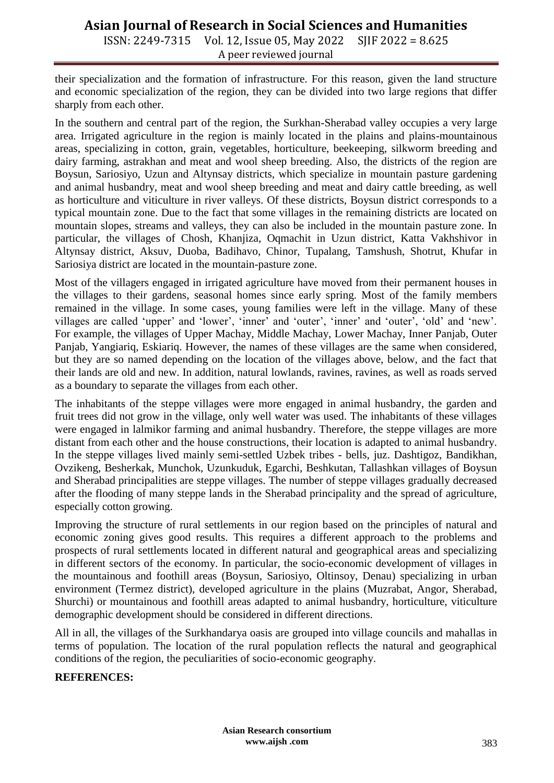ISSN: 2249-7315 Vol. 12, Issue 05, May 2022 SJIF 2022 = 8.625 A peer reviewed journal

their specialization and the formation of infrastructure. For this reason, given the land structure and economic specialization of the region, they can be divided into two large regions that differ sharply from each other.

In the southern and central part of the region, the Surkhan-Sherabad valley occupies a very large area. Irrigated agriculture in the region is mainly located in the plains and plains-mountainous areas, specializing in cotton, grain, vegetables, horticulture, beekeeping, silkworm breeding and dairy farming, astrakhan and meat and wool sheep breeding. Also, the districts of the region are Boysun, Sariosiyo, Uzun and Altynsay districts, which specialize in mountain pasture gardening and animal husbandry, meat and wool sheep breeding and meat and dairy cattle breeding, as well as horticulture and viticulture in river valleys. Of these districts, Boysun district corresponds to a typical mountain zone. Due to the fact that some villages in the remaining districts are located on mountain slopes, streams and valleys, they can also be included in the mountain pasture zone. In particular, the villages of Chosh, Khanjiza, Oqmachit in Uzun district, Katta Vakhshivor in Altynsay district, Aksuv, Duoba, Badihavo, Chinor, Tupalang, Tamshush, Shotrut, Khufar in Sariosiya district are located in the mountain-pasture zone.

Most of the villagers engaged in irrigated agriculture have moved from their permanent houses in the villages to their gardens, seasonal homes since early spring. Most of the family members remained in the village. In some cases, young families were left in the village. Many of these villages are called "upper" and "lower", "inner" and "outer", "inner" and "outer", "old" and "new". For example, the villages of Upper Machay, Middle Machay, Lower Machay, Inner Panjab, Outer Panjab, Yangiariq, Eskiariq. However, the names of these villages are the same when considered, but they are so named depending on the location of the villages above, below, and the fact that their lands are old and new. In addition, natural lowlands, ravines, ravines, as well as roads served as a boundary to separate the villages from each other.

The inhabitants of the steppe villages were more engaged in animal husbandry, the garden and fruit trees did not grow in the village, only well water was used. The inhabitants of these villages were engaged in lalmikor farming and animal husbandry. Therefore, the steppe villages are more distant from each other and the house constructions, their location is adapted to animal husbandry. In the steppe villages lived mainly semi-settled Uzbek tribes - bells, juz. Dashtigoz, Bandikhan, Ovzikeng, Besherkak, Munchok, Uzunkuduk, Egarchi, Beshkutan, Tallashkan villages of Boysun and Sherabad principalities are steppe villages. The number of steppe villages gradually decreased after the flooding of many steppe lands in the Sherabad principality and the spread of agriculture, especially cotton growing.

Improving the structure of rural settlements in our region based on the principles of natural and economic zoning gives good results. This requires a different approach to the problems and prospects of rural settlements located in different natural and geographical areas and specializing in different sectors of the economy. In particular, the socio-economic development of villages in the mountainous and foothill areas (Boysun, Sariosiyo, Oltinsoy, Denau) specializing in urban environment (Termez district), developed agriculture in the plains (Muzrabat, Angor, Sherabad, Shurchi) or mountainous and foothill areas adapted to animal husbandry, horticulture, viticulture demographic development should be considered in different directions.

All in all, the villages of the Surkhandarya oasis are grouped into village councils and mahallas in terms of population. The location of the rural population reflects the natural and geographical conditions of the region, the peculiarities of socio-economic geography.

#### **REFERENCES:**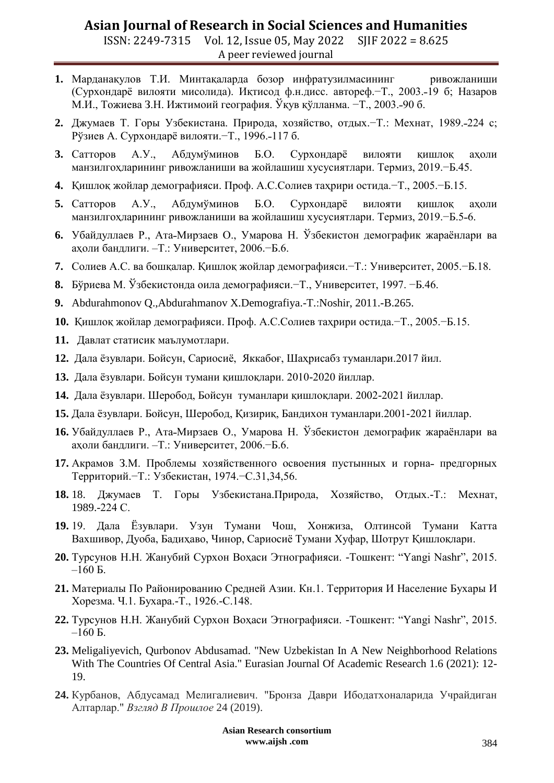ISSN: 2249-7315 Vol. 12, Issue 05, May 2022 SJIF 2022 = 8.625 A peer reviewed journal

- **1.** Марданақулов Т.И. Минтақаларда бозор инфратузилмасининг ривожланиши (Сурхондарѐ вилояти мисолида). Иқтисод ф.н.дисс. автореф.−Т., 2003.˗19 б; Назаров М.И., Тожиева З.Н. Ижтимоий география. Ўқув қўлланма. −Т., 2003.–90 б.
- 2. Джумаев Т. Горы Узбекистана. Природа, хозяйство, отдых.-Т.: Мехнат, 1989.-224 с; Рўзиев А. Сурхондарё вилояти.−Т., 1996.-117 б.
- **3.** Сатторов А.У., Абдумўминов Б.О. Сурхондарё вилояти кишлок ахоли манзилгоҳларининг ривожланиши ва жойлашиш хусусиятлари. Термиз, 2019.−Б.45.
- **4.** Қишлоқ жойлар демографияси. Проф. А.С.Солиев таҳрири остида.−Т., 2005.−Б.15.
- 5. Сатторов А.У., Абдумўминов Б.О. Сурхондарё вилояти қишлоқ ахоли манзилгохларининг ривожланиши ва жойлашиш хусусиятлари. Термиз, 2019.−Б.5-6.
- **6.** Убайдуллаев Р., Ата-Мирзаев О., Умарова Н. Ўзбекистон демографик жараёнлари ва аҳоли бандлиги. –Т.։ Университет, 2006.−Б.6.
- **7.** Солиев А.С. ва бошқалар. Қишлоқ жойлар демографияси.−Т.։ Университет, 2005.−Б.18.
- **8.** Бўриева М. Ўзбекистонда оила демографияси.−Т., Университет, 1997. −Б.46.
- **9.** Abdurahmonov Q.,Abdurahmanov X.Demografiya.-T.։Noshir, 2011.-B.265.
- **10.** Қишлоқ жойлар демографияси. Проф. А.С.Солиев таҳрири остида.−Т., 2005.−Б.15.
- **11.** Давлат статисик маълумотлари.
- **12.** Дала ѐзувлари. Бойсун, Сариосиѐ, Яккабоғ, Шаҳрисабз туманлари.2017 йил.
- **13.** Дала ѐзувлари. Бойсун тумани қишлоқлари. 2010-2020 йиллар.
- **14.** Дала ѐзувлари. Шеробод, Бойсун туманлари қишлоқлари. 2002-2021 йиллар.
- **15.** Дала ѐзувлари. Бойсун, Шеробод, Қизириқ, Бандихон туманлари.2001-2021 йиллар.
- 16. Убайдуллаев Р., Ата-Мирзаев О., Умарова Н. Ўзбекистон демографик жараёнлари ва аҳоли бандлиги. –Т.։ Университет, 2006.−Б.6.
- **17.** Акрамов З.М. Проблемы хозяйственного освоения пустынных и горна- предгорных Территорий.−Т.։ Узбекистан, 1974.−С.31,34,56.
- **18.** 18. Джумаев Т. Горы Узбекистана.Природа, Хозяйство, Отдых.-Т.։ Мехнат, 1989.-224 С.
- **19.** 19. Дала Ёзувлари. Узун Тумани Чош, Хонжиза, Олтинсой Тумани Катта Вахшивор, Дуоба, Бадиҳаво, Чинор, Сариосиѐ Тумани Хуфар, Шотрут Қишлоқлари.
- **20.** Турсунов Н.Н. Жанубий Сурхон Воҳаси Этнографияси. -Тошкент: "Yangi Nashr", 2015.  $-160$  Б.
- **21.** Материалы По Районированию Средней Азии. Кн.1. Территория И Население Бухары И Хорезма. Ч.1. Бухара.-Т., 1926.-С.148.
- **22.** Турсунов Н.Н. Жанубий Сурхон Воҳаси Этнографияси. -Тошкент: "Yangi Nashr", 2015.  $-160$  Б.
- **23.** Meligaliyevich, Qurbonov Abdusamad. "New Uzbekistan In A New Neighborhood Relations With The Countries Of Central Asia." Eurasian Journal Of Academic Research 1.6 (2021): 12- 19.
- **24.** Курбанов, Абдусамад Мелигалиевич. "Бронза Даври Ибодатхоналарида Учрайдиган Алтарлар." *Взгляд В Прошлое* 24 (2019).